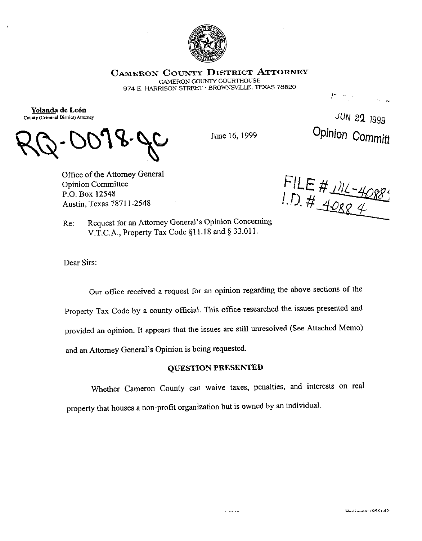

CAMERON COUNTY DISTRICT ATTORNEY

**GAMERON COUNTY COURTHOUSE** 974 E. HARRISON STREET · BROWNSVILLE, TEXAS 78520

Yolanda de León County (Criminal District) Attorney

June 16, 1999

JUN 22 1999 Opinion Committ

018. JC

Office of the Attorney General **Opinion Committee** P.O. Box 12548 Austin, Texas 78711-2548

FILE # 111-4088

Request for an Attorney General's Opinion Concerning Re: V.T.C.A., Property Tax Code §11.18 and § 33.011.

Dear Sirs:

Our office received a request for an opinion regarding the above sections of the Property Tax Code by a county official. This office researched the issues presented and provided an opinion. It appears that the issues are still unresolved (See Attached Memo) and an Attorney General's Opinion is being requested.

## **QUESTION PRESENTED**

Whether Cameron County can waive taxes, penalties, and interests on real property that houses a non-profit organization but is owned by an individual.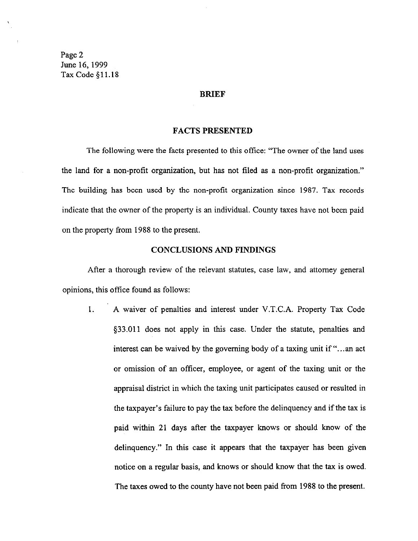Page 2 June 16,1999 Tax Code \$11.18

#### BRIEF

#### FACTS PRESENTED

The following were the facts presented to this office: "The owner of the land uses the land for a non-profit organization, but has not tiled as a non-profit organization." The building has been used by the non-profit organization since 1987. Tax records indicate that the owner of the property is an individual. County taxes have not been paid on the property from 1988 to the present.

## CONCLUSIONS AND FINDINGS

After a thorough review of the relevant statutes, case law, and attorney general opinions, this office found as follows:

1. A waiver of penalties and interest under V.T.C.A. Property Tax Code \$33.011 does not apply in this case. Under the statute, penalties and interest can be waived by the governing body of a taxing unit if "...an act" or omission of an officer, employee, or agent of the taxing unit or the appraisal district in which the taxing unit participates caused or resulted in the taxpayer's failure to pay the tax before the delinquency and if the tax is paid within 21 days after the taxpayer knows or should know of the delinquency." In this case it appears that the taxpayer has been given notice on a regular basis, and knows or should know that the tax is owed. The taxes owed to the county have not been paid from 1988 to the present.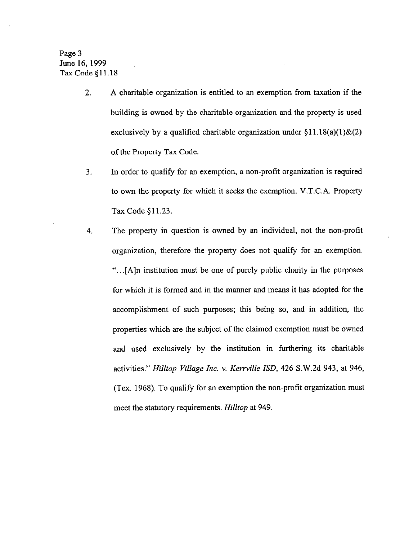Page 3 June 16,1999 Tax Code \$11.18

- *2.*  A charitable organization is entitled to an exemption from taxation if the building is owned by the charitable organization and the property is used exclusively by a qualified charitable organization under  $\S11.18(a)(1)$  & (2) of the Property Tax Code.
- *3.*  In order to qualify for an exemption, a non-profit organization is required to own the property for which it seeks the exemption. V.T.C.A. Property Tax Code \$11.23.
- *4.*  The property in question is owned by an individual, not the non-profit organization, therefore the property does not qualify for an exemption. ". .[A]n institution must be one of purely public charity in the purposes for which it is formed and in the manner and means it has adopted for the accomplishment of such purposes; this being so, and in addition, the properties which are the subject of the claimed exemption must be owned and used exclusively by the institution in furthering its charitable activities." *Hilltop Village Inc. Y. Kenville ISD, 426* S.W.2d 943, at 946, (Tex. 1968). To qualify for an exemption the non-profit organization must meet the statutory requirements. *Hilltop* at 949,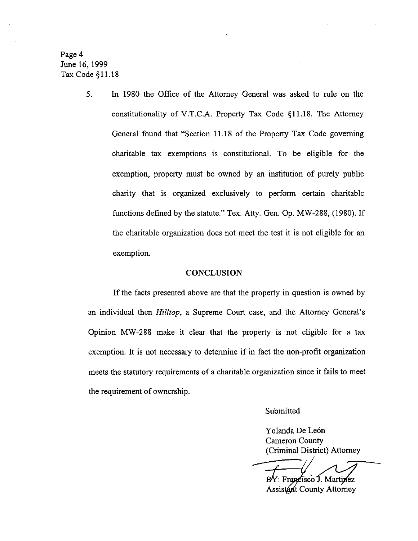Page 4 June 16,1999 Tax Code \$11.18

> *5.* In 1980 the Office of the Attorney General was asked to rule on the constitutionality of V.T.C.A. Property Tax Code \$11.18. The Attorney General found that "Section 11.18 of the Property Tax Code governing charitable tax exemptions is constitutional. To be eligible for the exemption, property must be owned by an institution of purely public charity that is organized exclusively to perform certain charitable functions defined by the statute." Tex. Atty. Gen. Op. MW-288, (1980). If the charitable organization does not meet the test it is not eligible for an exemption.

### **CONCLUSION**

If the facts presented above are that the property in question is owned by an individual then *Hilltop,* a Supreme Court case, and the Attorney General's Opinion MW-288 make it clear that the property is not eligible for a tax exemption. It is not necessary to determine if in fact the non-profit organization meets the statutory requirements of a charitable organization since it fails to meet the requirement of ownership.

Submitted

Yolanda De León Cameron County (Criminal District) Attorney

: Francisco J. Martinez **Assistant County Attorney**